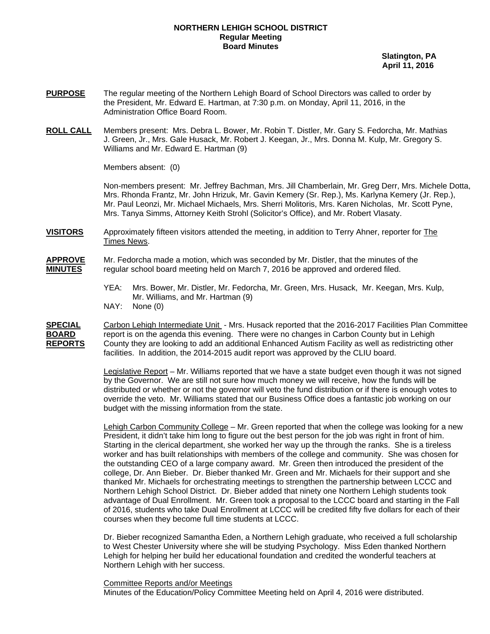## **NORTHERN LEHIGH SCHOOL DISTRICT Regular Meeting Board Minutes**

 **Slatington, PA April 11, 2016** 

- **PURPOSE** The regular meeting of the Northern Lehigh Board of School Directors was called to order by the President, Mr. Edward E. Hartman, at 7:30 p.m. on Monday, April 11, 2016, in the Administration Office Board Room.
- **ROLL CALL** Members present: Mrs. Debra L. Bower, Mr. Robin T. Distler, Mr. Gary S. Fedorcha, Mr. Mathias J. Green, Jr., Mrs. Gale Husack, Mr. Robert J. Keegan, Jr., Mrs. Donna M. Kulp, Mr. Gregory S. Williams and Mr. Edward E. Hartman (9)

Members absent: (0)

Non-members present: Mr. Jeffrey Bachman, Mrs. Jill Chamberlain, Mr. Greg Derr, Mrs. Michele Dotta, Mrs. Rhonda Frantz, Mr. John Hrizuk, Mr. Gavin Kemery (Sr. Rep.), Ms. Karlyna Kemery (Jr. Rep.), Mr. Paul Leonzi, Mr. Michael Michaels, Mrs. Sherri Molitoris, Mrs. Karen Nicholas, Mr. Scott Pyne, Mrs. Tanya Simms, Attorney Keith Strohl (Solicitor's Office), and Mr. Robert Vlasaty.

- **VISITORS** Approximately fifteen visitors attended the meeting, in addition to Terry Ahner, reporter for The Times News.
- **APPROVE** Mr. Fedorcha made a motion, which was seconded by Mr. Distler, that the minutes of the **MINUTES** regular school board meeting held on March 7, 2016 be approved and ordered filed.
	- YEA: Mrs. Bower, Mr. Distler, Mr. Fedorcha, Mr. Green, Mrs. Husack, Mr. Keegan, Mrs. Kulp, Mr. Williams, and Mr. Hartman (9)
	- NAY: None (0)

**SPECIAL** Carbon Lehigh Intermediate Unit - Mrs. Husack reported that the 2016-2017 Facilities Plan Committee **BOARD** report is on the agenda this evening. There were no changes in Carbon County but in Lehigh **REPORTS** County they are looking to add an additional Enhanced Autism Facility as well as redistricting other facilities. In addition, the 2014-2015 audit report was approved by the CLIU board.

> Legislative Report – Mr. Williams reported that we have a state budget even though it was not signed by the Governor. We are still not sure how much money we will receive, how the funds will be distributed or whether or not the governor will veto the fund distribution or if there is enough votes to override the veto. Mr. Williams stated that our Business Office does a fantastic job working on our budget with the missing information from the state.

> Lehigh Carbon Community College – Mr. Green reported that when the college was looking for a new President, it didn't take him long to figure out the best person for the job was right in front of him. Starting in the clerical department, she worked her way up the through the ranks. She is a tireless worker and has built relationships with members of the college and community. She was chosen for the outstanding CEO of a large company award. Mr. Green then introduced the president of the college, Dr. Ann Bieber. Dr. Bieber thanked Mr. Green and Mr. Michaels for their support and she thanked Mr. Michaels for orchestrating meetings to strengthen the partnership between LCCC and Northern Lehigh School District. Dr. Bieber added that ninety one Northern Lehigh students took advantage of Dual Enrollment. Mr. Green took a proposal to the LCCC board and starting in the Fall of 2016, students who take Dual Enrollment at LCCC will be credited fifty five dollars for each of their courses when they become full time students at LCCC.

 Dr. Bieber recognized Samantha Eden, a Northern Lehigh graduate, who received a full scholarship to West Chester University where she will be studying Psychology. Miss Eden thanked Northern Lehigh for helping her build her educational foundation and credited the wonderful teachers at Northern Lehigh with her success.

Committee Reports and/or Meetings Minutes of the Education/Policy Committee Meeting held on April 4, 2016 were distributed.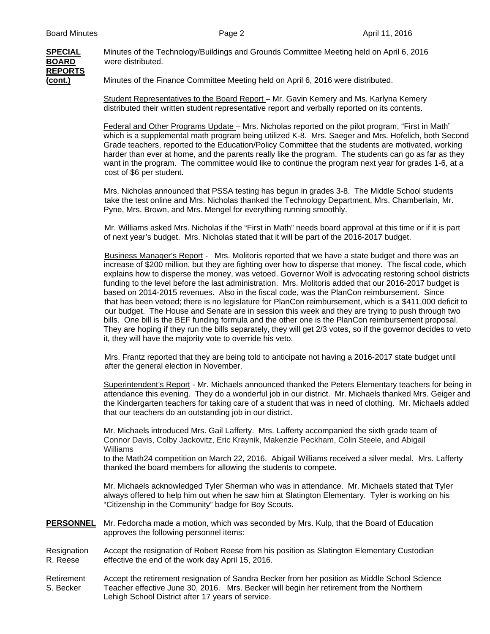

**SPECIAL** Minutes of the Technology/Buildings and Grounds Committee Meeting held on April 6, 2016 **BOARD** were distributed.

**(cont.)** Minutes of the Finance Committee Meeting held on April 6, 2016 were distributed.

 Student Representatives to the Board Report – Mr. Gavin Kemery and Ms. Karlyna Kemery distributed their written student representative report and verbally reported on its contents.

 Federal and Other Programs Update – Mrs. Nicholas reported on the pilot program, "First in Math" which is a supplemental math program being utilized K-8. Mrs. Saeger and Mrs. Hofelich, both Second Grade teachers, reported to the Education/Policy Committee that the students are motivated, working harder than ever at home, and the parents really like the program. The students can go as far as they want in the program. The committee would like to continue the program next year for grades 1-6, at a cost of \$6 per student.

 Mrs. Nicholas announced that PSSA testing has begun in grades 3-8. The Middle School students take the test online and Mrs. Nicholas thanked the Technology Department, Mrs. Chamberlain, Mr. Pyne, Mrs. Brown, and Mrs. Mengel for everything running smoothly.

 Mr. Williams asked Mrs. Nicholas if the "First in Math" needs board approval at this time or if it is part of next year's budget. Mrs. Nicholas stated that it will be part of the 2016-2017 budget.

 Business Manager's Report - Mrs. Molitoris reported that we have a state budget and there was an increase of \$200 million, but they are fighting over how to disperse that money. The fiscal code, which explains how to disperse the money, was vetoed. Governor Wolf is advocating restoring school districts funding to the level before the last administration. Mrs. Molitoris added that our 2016-2017 budget is based on 2014-2015 revenues. Also in the fiscal code, was the PlanCon reimbursement. Since that has been vetoed; there is no legislature for PlanCon reimbursement, which is a \$411,000 deficit to our budget. The House and Senate are in session this week and they are trying to push through two bills. One bill is the BEF funding formula and the other one is the PlanCon reimbursement proposal. They are hoping if they run the bills separately, they will get 2/3 votes, so if the governor decides to veto it, they will have the majority vote to override his veto.

 Mrs. Frantz reported that they are being told to anticipate not having a 2016-2017 state budget until after the general election in November.

 Superintendent's Report - Mr. Michaels announced thanked the Peters Elementary teachers for being in attendance this evening. They do a wonderful job in our district. Mr. Michaels thanked Mrs. Geiger and the Kindergarten teachers for taking care of a student that was in need of clothing. Mr. Michaels added that our teachers do an outstanding job in our district.

Mr. Michaels introduced Mrs. Gail Lafferty. Mrs. Lafferty accompanied the sixth grade team of Connor Davis, Colby Jackovitz, Eric Kraynik, Makenzie Peckham, Colin Steele, and Abigail Williams

 to the Math24 competition on March 22, 2016. Abigail Williams received a silver medal. Mrs. Lafferty thanked the board members for allowing the students to compete.

 Mr. Michaels acknowledged Tyler Sherman who was in attendance. Mr. Michaels stated that Tyler always offered to help him out when he saw him at Slatington Elementary. Tyler is working on his "Citizenship in the Community" badge for Boy Scouts.

- **PERSONNEL** Mr. Fedorcha made a motion, which was seconded by Mrs. Kulp, that the Board of Education approves the following personnel items:
- Resignation Accept the resignation of Robert Reese from his position as Slatington Elementary Custodian R. Reese effective the end of the work day April 15, 2016.
- Retirement Accept the retirement resignation of Sandra Becker from her position as Middle School Science S. Becker Teacher effective June 30, 2016. Mrs. Becker will begin her retirement from the Northern Lehigh School District after 17 years of service.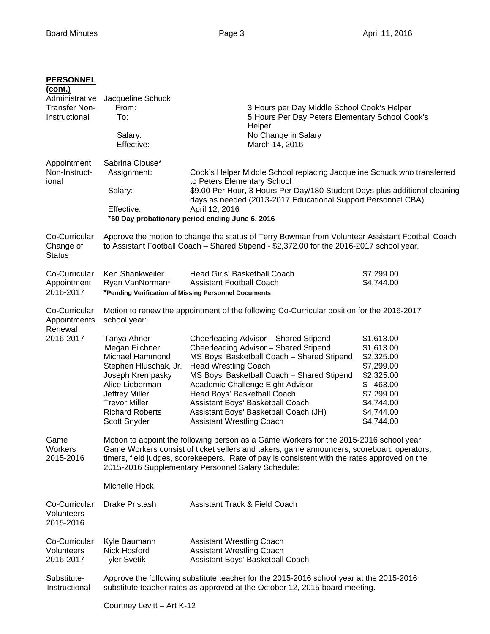| <b>PERSONNEL</b><br>(cont.)<br>Administrative<br><b>Transfer Non-</b><br>Instructional | Jacqueline Schuck<br>From:<br>To:<br>Salary:<br>Effective:                                                                                                                                                                                                                                                                                                  | 3 Hours per Day Middle School Cook's Helper<br>5 Hours Per Day Peters Elementary School Cook's<br>Helper<br>No Change in Salary<br>March 14, 2016                                                                                                                                                                                                                                                                                                                                          |                                                                                                                                        |
|----------------------------------------------------------------------------------------|-------------------------------------------------------------------------------------------------------------------------------------------------------------------------------------------------------------------------------------------------------------------------------------------------------------------------------------------------------------|--------------------------------------------------------------------------------------------------------------------------------------------------------------------------------------------------------------------------------------------------------------------------------------------------------------------------------------------------------------------------------------------------------------------------------------------------------------------------------------------|----------------------------------------------------------------------------------------------------------------------------------------|
| Appointment<br>Non-Instruct-<br>ional                                                  | Sabrina Clouse*<br>Assignment:<br>Salary:<br>Effective:                                                                                                                                                                                                                                                                                                     | Cook's Helper Middle School replacing Jacqueline Schuck who transferred<br>to Peters Elementary School<br>\$9.00 Per Hour, 3 Hours Per Day/180 Student Days plus additional cleaning<br>days as needed (2013-2017 Educational Support Personnel CBA)<br>April 12, 2016<br>*60 Day probationary period ending June 6, 2016                                                                                                                                                                  |                                                                                                                                        |
| Co-Curricular<br>Change of<br><b>Status</b>                                            | Approve the motion to change the status of Terry Bowman from Volunteer Assistant Football Coach<br>to Assistant Football Coach - Shared Stipend - \$2,372.00 for the 2016-2017 school year.                                                                                                                                                                 |                                                                                                                                                                                                                                                                                                                                                                                                                                                                                            |                                                                                                                                        |
| Co-Curricular<br>Appointment<br>2016-2017                                              | Ken Shankweiler<br>Ryan VanNorman*                                                                                                                                                                                                                                                                                                                          | Head Girls' Basketball Coach<br><b>Assistant Football Coach</b><br>*Pending Verification of Missing Personnel Documents                                                                                                                                                                                                                                                                                                                                                                    | \$7,299.00<br>\$4,744.00                                                                                                               |
| Co-Curricular<br>Appointments<br>Renewal<br>2016-2017                                  | school year:<br>Tanya Ahner<br>Megan Filchner<br>Michael Hammond<br>Stephen Hluschak, Jr.<br>Joseph Krempasky<br>Alice Lieberman<br>Jeffrey Miller<br><b>Trevor Miller</b><br><b>Richard Roberts</b><br>Scott Snyder                                                                                                                                        | Motion to renew the appointment of the following Co-Curricular position for the 2016-2017<br>Cheerleading Advisor - Shared Stipend<br>Cheerleading Advisor - Shared Stipend<br>MS Boys' Basketball Coach - Shared Stipend<br><b>Head Wrestling Coach</b><br>MS Boys' Basketball Coach - Shared Stipend<br>Academic Challenge Eight Advisor<br>Head Boys' Basketball Coach<br>Assistant Boys' Basketball Coach<br>Assistant Boys' Basketball Coach (JH)<br><b>Assistant Wrestling Coach</b> | \$1,613.00<br>\$1,613.00<br>\$2,325.00<br>\$7,299.00<br>\$2,325.00<br>\$463.00<br>\$7,299.00<br>\$4,744.00<br>\$4,744.00<br>\$4,744.00 |
| Game<br>Workers<br>2015-2016                                                           | Motion to appoint the following person as a Game Workers for the 2015-2016 school year.<br>Game Workers consist of ticket sellers and takers, game announcers, scoreboard operators,<br>timers, field judges, scorekeepers. Rate of pay is consistent with the rates approved on the<br>2015-2016 Supplementary Personnel Salary Schedule:<br>Michelle Hock |                                                                                                                                                                                                                                                                                                                                                                                                                                                                                            |                                                                                                                                        |
| Co-Curricular<br>Volunteers<br>2015-2016                                               | Drake Pristash                                                                                                                                                                                                                                                                                                                                              | <b>Assistant Track &amp; Field Coach</b>                                                                                                                                                                                                                                                                                                                                                                                                                                                   |                                                                                                                                        |
| Co-Curricular<br>Volunteers<br>2016-2017                                               | Kyle Baumann<br>Nick Hosford<br><b>Tyler Svetik</b>                                                                                                                                                                                                                                                                                                         | <b>Assistant Wrestling Coach</b><br><b>Assistant Wrestling Coach</b><br>Assistant Boys' Basketball Coach                                                                                                                                                                                                                                                                                                                                                                                   |                                                                                                                                        |
| Substitute-<br>Instructional                                                           | Approve the following substitute teacher for the 2015-2016 school year at the 2015-2016<br>substitute teacher rates as approved at the October 12, 2015 board meeting.                                                                                                                                                                                      |                                                                                                                                                                                                                                                                                                                                                                                                                                                                                            |                                                                                                                                        |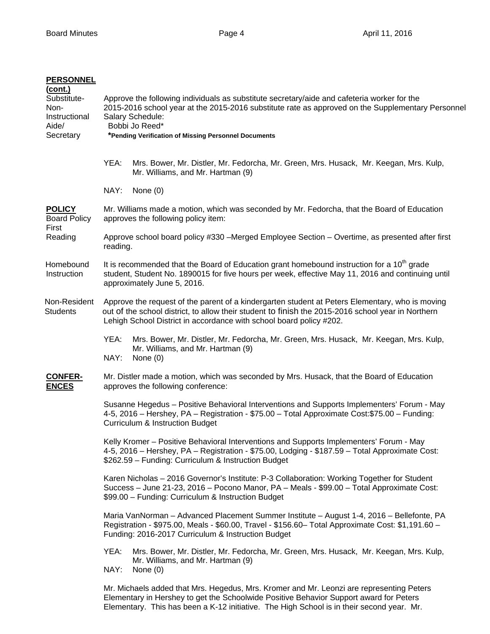## **PERSONNEL**

| (cont.)<br>Substitute-<br>Non-<br>Instructional<br>Aide/<br>Secretary | Approve the following individuals as substitute secretary/aide and cafeteria worker for the<br>2015-2016 school year at the 2015-2016 substitute rate as approved on the Supplementary Personnel<br>Salary Schedule:<br>Bobbi Jo Reed*<br>*Pending Verification of Missing Personnel Documents |  |  |  |
|-----------------------------------------------------------------------|------------------------------------------------------------------------------------------------------------------------------------------------------------------------------------------------------------------------------------------------------------------------------------------------|--|--|--|
|                                                                       | YEA:<br>Mrs. Bower, Mr. Distler, Mr. Fedorcha, Mr. Green, Mrs. Husack, Mr. Keegan, Mrs. Kulp,<br>Mr. Williams, and Mr. Hartman (9)                                                                                                                                                             |  |  |  |
|                                                                       | NAY:<br>None $(0)$                                                                                                                                                                                                                                                                             |  |  |  |
| <b>POLICY</b><br><b>Board Policy</b><br>First<br>Reading              | Mr. Williams made a motion, which was seconded by Mr. Fedorcha, that the Board of Education<br>approves the following policy item:                                                                                                                                                             |  |  |  |
|                                                                       | Approve school board policy #330 -Merged Employee Section - Overtime, as presented after first<br>reading.                                                                                                                                                                                     |  |  |  |
| Homebound<br>Instruction                                              | It is recommended that the Board of Education grant homebound instruction for a $10th$ grade<br>student, Student No. 1890015 for five hours per week, effective May 11, 2016 and continuing until<br>approximately June 5, 2016.                                                               |  |  |  |
| Non-Resident<br><b>Students</b>                                       | Approve the request of the parent of a kindergarten student at Peters Elementary, who is moving<br>out of the school district, to allow their student to finish the 2015-2016 school year in Northern<br>Lehigh School District in accordance with school board policy #202.                   |  |  |  |
|                                                                       | YEA:<br>Mrs. Bower, Mr. Distler, Mr. Fedorcha, Mr. Green, Mrs. Husack, Mr. Keegan, Mrs. Kulp,<br>Mr. Williams, and Mr. Hartman (9)<br>NAY:<br>None $(0)$                                                                                                                                       |  |  |  |
| <b>CONFER-</b><br><b>ENCES</b>                                        | Mr. Distler made a motion, which was seconded by Mrs. Husack, that the Board of Education<br>approves the following conference:                                                                                                                                                                |  |  |  |
|                                                                       | Susanne Hegedus - Positive Behavioral Interventions and Supports Implementers' Forum - May<br>4-5, 2016 – Hershey, PA – Registration - \$75.00 – Total Approximate Cost:\$75.00 – Funding:<br>Curriculum & Instruction Budget                                                                  |  |  |  |
|                                                                       | Kelly Kromer - Positive Behavioral Interventions and Supports Implementers' Forum - May<br>4-5, 2016 – Hershey, PA – Registration - \$75.00, Lodging - \$187.59 – Total Approximate Cost:<br>\$262.59 - Funding: Curriculum & Instruction Budget                                               |  |  |  |
|                                                                       | Karen Nicholas - 2016 Governor's Institute: P-3 Collaboration: Working Together for Student<br>Success - June 21-23, 2016 - Pocono Manor, PA - Meals - \$99.00 - Total Approximate Cost:<br>\$99.00 - Funding: Curriculum & Instruction Budget                                                 |  |  |  |
|                                                                       | Maria VanNorman - Advanced Placement Summer Institute - August 1-4, 2016 - Bellefonte, PA<br>Registration - \$975.00, Meals - \$60.00, Travel - \$156.60 - Total Approximate Cost: \$1,191.60 -<br>Funding: 2016-2017 Curriculum & Instruction Budget                                          |  |  |  |
|                                                                       | YEA:<br>Mrs. Bower, Mr. Distler, Mr. Fedorcha, Mr. Green, Mrs. Husack, Mr. Keegan, Mrs. Kulp,<br>Mr. Williams, and Mr. Hartman (9)<br>NAY:<br>None $(0)$                                                                                                                                       |  |  |  |
|                                                                       | Mr. Michaels added that Mrs. Hegedus, Mrs. Kromer and Mr. Leonzi are representing Peters<br>Elementary in Hershey to get the Schoolwide Positive Behavior Support award for Peters<br>Elementary. This has been a K-12 initiative. The High School is in their second year. Mr.                |  |  |  |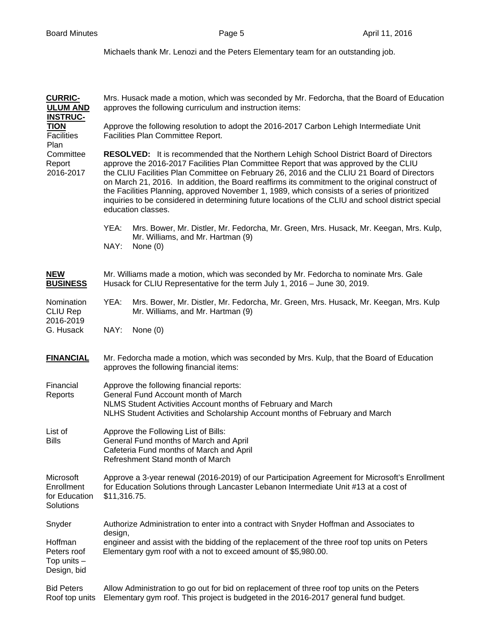Michaels thank Mr. Lenozi and the Peters Elementary team for an outstanding job.

| <b>CURRIC-</b><br><b>ULUM AND</b><br><b>INSTRUC-</b>   | Mrs. Husack made a motion, which was seconded by Mr. Fedorcha, that the Board of Education<br>approves the following curriculum and instruction items:                                                                                                                                                                                                                                                                                                                                                                                                                                                               |  |  |
|--------------------------------------------------------|----------------------------------------------------------------------------------------------------------------------------------------------------------------------------------------------------------------------------------------------------------------------------------------------------------------------------------------------------------------------------------------------------------------------------------------------------------------------------------------------------------------------------------------------------------------------------------------------------------------------|--|--|
| <b>TION</b><br><b>Facilities</b><br>Plan               | Approve the following resolution to adopt the 2016-2017 Carbon Lehigh Intermediate Unit<br>Facilities Plan Committee Report.                                                                                                                                                                                                                                                                                                                                                                                                                                                                                         |  |  |
| Committee<br>Report<br>2016-2017                       | <b>RESOLVED:</b> It is recommended that the Northern Lehigh School District Board of Directors<br>approve the 2016-2017 Facilities Plan Committee Report that was approved by the CLIU<br>the CLIU Facilities Plan Committee on February 26, 2016 and the CLIU 21 Board of Directors<br>on March 21, 2016. In addition, the Board reaffirms its commitment to the original construct of<br>the Facilities Planning, approved November 1, 1989, which consists of a series of prioritized<br>inquiries to be considered in determining future locations of the CLIU and school district special<br>education classes. |  |  |
|                                                        | YEA:<br>Mrs. Bower, Mr. Distler, Mr. Fedorcha, Mr. Green, Mrs. Husack, Mr. Keegan, Mrs. Kulp,<br>Mr. Williams, and Mr. Hartman (9)<br>NAY:<br>None $(0)$                                                                                                                                                                                                                                                                                                                                                                                                                                                             |  |  |
| <b>NEW</b><br><b>BUSINESS</b>                          | Mr. Williams made a motion, which was seconded by Mr. Fedorcha to nominate Mrs. Gale<br>Husack for CLIU Representative for the term July 1, 2016 - June 30, 2019.                                                                                                                                                                                                                                                                                                                                                                                                                                                    |  |  |
| Nomination<br><b>CLIU Rep</b><br>2016-2019             | YEA:<br>Mrs. Bower, Mr. Distler, Mr. Fedorcha, Mr. Green, Mrs. Husack, Mr. Keegan, Mrs. Kulp<br>Mr. Williams, and Mr. Hartman (9)                                                                                                                                                                                                                                                                                                                                                                                                                                                                                    |  |  |
| G. Husack                                              | NAY:<br>None $(0)$                                                                                                                                                                                                                                                                                                                                                                                                                                                                                                                                                                                                   |  |  |
| <b>FINANCIAL</b>                                       | Mr. Fedorcha made a motion, which was seconded by Mrs. Kulp, that the Board of Education<br>approves the following financial items:                                                                                                                                                                                                                                                                                                                                                                                                                                                                                  |  |  |
| Financial<br>Reports                                   | Approve the following financial reports:<br>General Fund Account month of March<br>NLMS Student Activities Account months of February and March<br>NLHS Student Activities and Scholarship Account months of February and March                                                                                                                                                                                                                                                                                                                                                                                      |  |  |
| List of<br><b>Bills</b>                                | Approve the Following List of Bills:<br>General Fund months of March and April<br>Cafeteria Fund months of March and April<br>Refreshment Stand month of March                                                                                                                                                                                                                                                                                                                                                                                                                                                       |  |  |
| Microsoft<br>Enrollment<br>for Education<br>Solutions  | Approve a 3-year renewal (2016-2019) of our Participation Agreement for Microsoft's Enrollment<br>for Education Solutions through Lancaster Lebanon Intermediate Unit #13 at a cost of<br>\$11,316.75.                                                                                                                                                                                                                                                                                                                                                                                                               |  |  |
| Snyder                                                 | Authorize Administration to enter into a contract with Snyder Hoffman and Associates to<br>design,                                                                                                                                                                                                                                                                                                                                                                                                                                                                                                                   |  |  |
| Hoffman<br>Peters roof<br>Top units $-$<br>Design, bid | engineer and assist with the bidding of the replacement of the three roof top units on Peters<br>Elementary gym roof with a not to exceed amount of \$5,980.00.                                                                                                                                                                                                                                                                                                                                                                                                                                                      |  |  |
| <b>Bid Peters</b><br>Roof top units                    | Allow Administration to go out for bid on replacement of three roof top units on the Peters<br>Elementary gym roof. This project is budgeted in the 2016-2017 general fund budget.                                                                                                                                                                                                                                                                                                                                                                                                                                   |  |  |